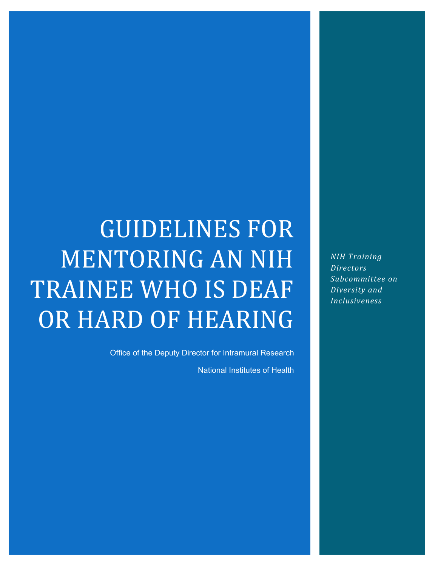# GUIDELINES FOR MENTORING AN NIH TRAINEE WHO IS DEAF OR HARD OF HEARING

Office of the Deputy Director for Intramural Research

National Institutes of Health

*NIH Training Directors Subcommittee on Diversity and Inclusiveness*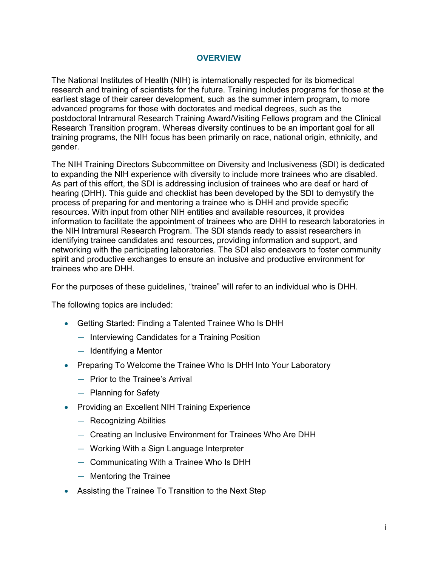#### **OVERVIEW**

The National Institutes of Health (NIH) is internationally respected for its biomedical research and training of scientists for the future. Training includes programs for those at the earliest stage of their career development, such as the summer intern program, to more advanced programs for those with doctorates and medical degrees, such as the postdoctoral Intramural Research Training Award/Visiting Fellows program and the Clinical Research Transition program. Whereas diversity continues to be an important goal for all training programs, the NIH focus has been primarily on race, national origin, ethnicity, and gender.

The NIH Training Directors Subcommittee on Diversity and Inclusiveness (SDI) is dedicated to expanding the NIH experience with diversity to include more trainees who are disabled. As part of this effort, the SDI is addressing inclusion of trainees who are deaf or hard of hearing (DHH). This guide and checklist has been developed by the SDI to demystify the process of preparing for and mentoring a trainee who is DHH and provide specific resources. With input from other NIH entities and available resources, it provides information to facilitate the appointment of trainees who are DHH to research laboratories in the NIH Intramural Research Program. The SDI stands ready to assist researchers in identifying trainee candidates and resources, providing information and support, and networking with the participating laboratories. The SDI also endeavors to foster community spirit and productive exchanges to ensure an inclusive and productive environment for trainees who are DHH.

For the purposes of these guidelines, "trainee" will refer to an individual who is DHH.

The following topics are included:

- Getting Started: Finding a Talented Trainee Who Is DHH
	- Interviewing Candidates for a Training Position
	- Identifying a Mentor
- Preparing To Welcome the Trainee Who Is DHH Into Your Laboratory
	- Prior to the Trainee's Arrival
	- Planning for Safety
- Providing an Excellent NIH Training Experience
	- Recognizing Abilities
	- Creating an Inclusive Environment for Trainees Who Are DHH
	- Working With a Sign Language Interpreter
	- Communicating With a Trainee Who Is DHH
	- Mentoring the Trainee
- Assisting the Trainee To Transition to the Next Step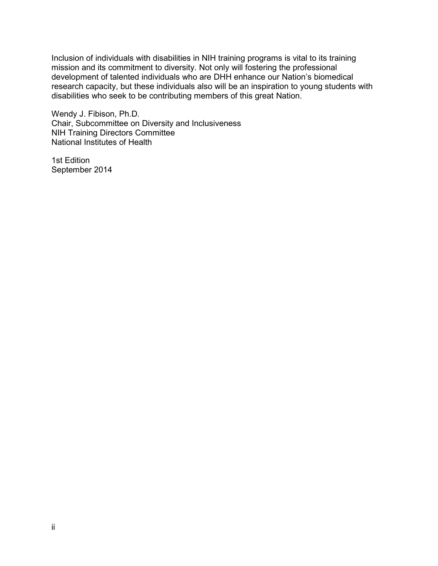Inclusion of individuals with disabilities in NIH training programs is vital to its training mission and its commitment to diversity. Not only will fostering the professional development of talented individuals who are DHH enhance our Nation's biomedical research capacity, but these individuals also will be an inspiration to young students with disabilities who seek to be contributing members of this great Nation.

Wendy J. Fibison, Ph.D. Chair, Subcommittee on Diversity and Inclusiveness NIH Training Directors Committee National Institutes of Health

1st Edition September 2014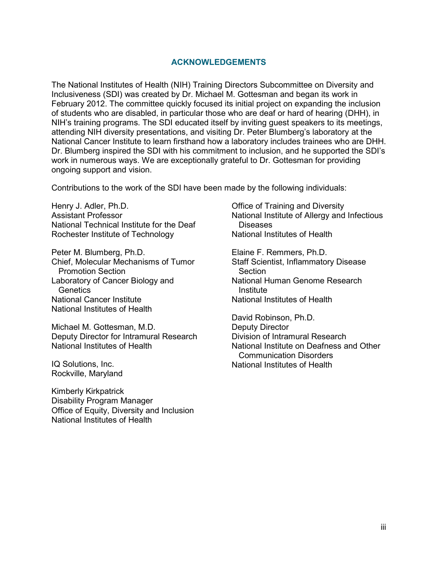#### **ACKNOWLEDGEMENTS**

The National Institutes of Health (NIH) Training Directors Subcommittee on Diversity and Inclusiveness (SDI) was created by Dr. Michael M. Gottesman and began its work in February 2012. The committee quickly focused its initial project on expanding the inclusion of students who are disabled, in particular those who are deaf or hard of hearing (DHH), in NIH's training programs. The SDI educated itself by inviting guest speakers to its meetings, attending NIH diversity presentations, and visiting Dr. Peter Blumberg's laboratory at the National Cancer Institute to learn firsthand how a laboratory includes trainees who are DHH. Dr. Blumberg inspired the SDI with his commitment to inclusion, and he supported the SDI's work in numerous ways. We are exceptionally grateful to Dr. Gottesman for providing ongoing support and vision.

Contributions to the work of the SDI have been made by the following individuals:

Henry J. Adler, Ph.D. Assistant Professor National Technical Institute for the Deaf Rochester Institute of Technology

Peter M. Blumberg, Ph.D. Chief, Molecular Mechanisms of Tumor Promotion Section Laboratory of Cancer Biology and **Genetics** National Cancer Institute National Institutes of Health

Michael M. Gottesman, M.D. Deputy Director for Intramural Research National Institutes of Health

IQ Solutions, Inc. Rockville, Maryland

Kimberly Kirkpatrick Disability Program Manager Office of Equity, Diversity and Inclusion National Institutes of Health

Office of Training and Diversity National Institute of Allergy and Infectious Diseases National Institutes of Health

Elaine F. Remmers, Ph.D. Staff Scientist, Inflammatory Disease **Section** National Human Genome Research Institute National Institutes of Health

David Robinson, Ph.D. Deputy Director Division of Intramural Research National Institute on Deafness and Other Communication Disorders National Institutes of Health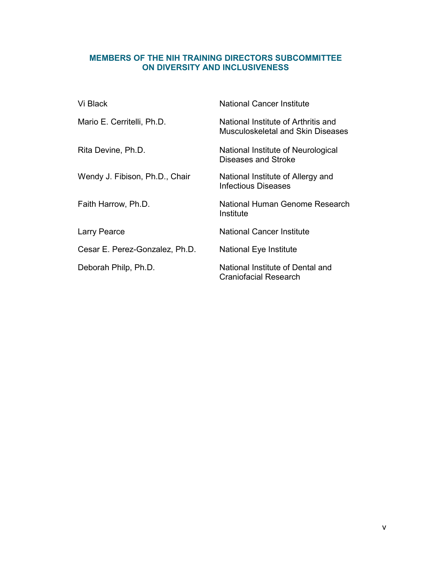#### **MEMBERS OF THE NIH TRAINING DIRECTORS SUBCOMMITTEE ON DIVERSITY AND INCLUSIVENESS**

| Vi Black                       | <b>National Cancer Institute</b>                                                |
|--------------------------------|---------------------------------------------------------------------------------|
| Mario E. Cerritelli, Ph.D.     | National Institute of Arthritis and<br><b>Musculoskeletal and Skin Diseases</b> |
| Rita Devine, Ph.D.             | National Institute of Neurological<br>Diseases and Stroke                       |
| Wendy J. Fibison, Ph.D., Chair | National Institute of Allergy and<br><b>Infectious Diseases</b>                 |
| Faith Harrow, Ph.D.            | National Human Genome Research<br>Institute                                     |
| Larry Pearce                   | National Cancer Institute                                                       |
| Cesar E. Perez-Gonzalez, Ph.D. | National Eye Institute                                                          |
| Deborah Philp, Ph.D.           | National Institute of Dental and<br>Craniofacial Research                       |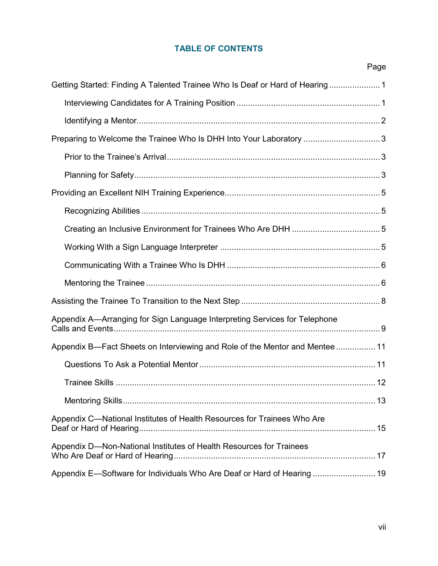# **TABLE OF CONTENTS**

|                                                                              | Page |
|------------------------------------------------------------------------------|------|
| Getting Started: Finding A Talented Trainee Who Is Deaf or Hard of Hearing 1 |      |
|                                                                              |      |
|                                                                              |      |
| Preparing to Welcome the Trainee Who Is DHH Into Your Laboratory  3          |      |
|                                                                              |      |
|                                                                              |      |
|                                                                              |      |
|                                                                              |      |
|                                                                              |      |
|                                                                              |      |
|                                                                              |      |
|                                                                              |      |
|                                                                              |      |
| Appendix A—Arranging for Sign Language Interpreting Services for Telephone   |      |
| Appendix B—Fact Sheets on Interviewing and Role of the Mentor and Mentee  11 |      |
|                                                                              |      |
|                                                                              |      |
|                                                                              |      |
| Appendix C-National Institutes of Health Resources for Trainees Who Are      |      |
| Appendix D-Non-National Institutes of Health Resources for Trainees          |      |
| Appendix E—Software for Individuals Who Are Deaf or Hard of Hearing  19      |      |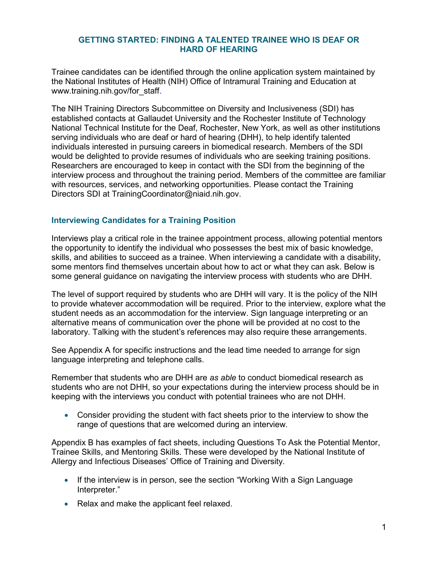#### <span id="page-10-0"></span>**GETTING STARTED: FINDING A TALENTED TRAINEE WHO IS DEAF OR HARD OF HEARING**

Trainee candidates can be identified through the online application system maintained by the National Institutes of Health (NIH) Office of Intramural Training and Education at [www.training.nih.gov/for\\_staff](https://www.training.nih.gov/for_staff).

The NIH Training Directors Subcommittee on Diversity and Inclusiveness (SDI) has established contacts at Gallaudet University and the Rochester Institute of Technology National Technical Institute for the Deaf, Rochester, New York, as well as other institutions serving individuals who are deaf or hard of hearing (DHH), to help identify talented individuals interested in pursuing careers in biomedical research. Members of the SDI would be delighted to provide resumes of individuals who are seeking training positions. Researchers are encouraged to keep in contact with the SDI from the beginning of the interview process and throughout the training period. Members of the committee are familiar with resources, services, and networking opportunities. Please contact the Training Directors SDI at [TrainingCoordinator@niaid.nih.gov](mailto:TrainingCoordinator@niaid.nih.gov).

### **Interviewing Candidates for a Training Position**

Interviews play a critical role in the trainee appointment process, allowing potential mentors the opportunity to identify the individual who possesses the best mix of basic knowledge, skills, and abilities to succeed as a trainee. When interviewing a candidate with a disability, some mentors find themselves uncertain about how to act or what they can ask. Below is some general guidance on navigating the interview process with students who are DHH.

The level of support required by students who are DHH will vary. It is the policy of the NIH to provide whatever accommodation will be required. Prior to the interview, explore what the student needs as an accommodation for the interview. Sign language interpreting or an alternative means of communication over the phone will be provided at no cost to the laboratory. Talking with the student's references may also require these arrangements.

See Appendix A for specific instructions and the lead time needed to arrange for sign language interpreting and telephone calls.

Remember that students who are DHH are *as able* to conduct biomedical research as students who are not DHH, so your expectations during the interview process should be in keeping with the interviews you conduct with potential trainees who are not DHH.

 Consider providing the student with fact sheets prior to the interview to show the range of questions that are welcomed during an interview.

Appendix B has examples of fact sheets, including Questions To Ask the Potential Mentor, Trainee Skills, and Mentoring Skills. These were developed by the National Institute of Allergy and Infectious Diseases' Office of Training and Diversity.

- If the interview is in person, see the section "Working With a Sign Language Interpreter."
- Relax and make the applicant feel relaxed.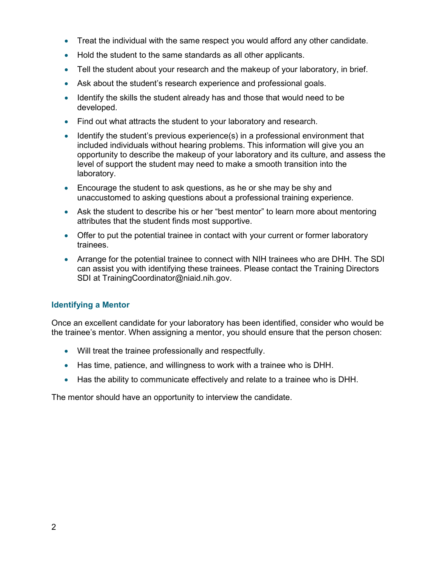- <span id="page-11-0"></span>Treat the individual with the same respect you would afford any other candidate.
- Hold the student to the same standards as all other applicants.
- Tell the student about your research and the makeup of your laboratory, in brief.
- Ask about the student's research experience and professional goals.
- Identify the skills the student already has and those that would need to be developed.
- Find out what attracts the student to your laboratory and research.
- **I** Identify the student's previous experience(s) in a professional environment that included individuals without hearing problems. This information will give you an opportunity to describe the makeup of your laboratory and its culture, and assess the level of support the student may need to make a smooth transition into the laboratory.
- Encourage the student to ask questions, as he or she may be shy and unaccustomed to asking questions about a professional training experience.
- Ask the student to describe his or her "best mentor" to learn more about mentoring attributes that the student finds most supportive.
- Offer to put the potential trainee in contact with your current or former laboratory trainees.
- Arrange for the potential trainee to connect with NIH trainees who are DHH. The SDI can assist you with identifying these trainees. Please contact the Training Directors SDI at [TrainingCoordinator@niaid.nih.gov](mailto:TrainingCoordinator@niaid.nih.gov).

### **Identifying a Mentor**

Once an excellent candidate for your laboratory has been identified, consider who would be the trainee's mentor. When assigning a mentor, you should ensure that the person chosen:

- Will treat the trainee professionally and respectfully.
- Has time, patience, and willingness to work with a trainee who is DHH.
- Has the ability to communicate effectively and relate to a trainee who is DHH.

The mentor should have an opportunity to interview the candidate.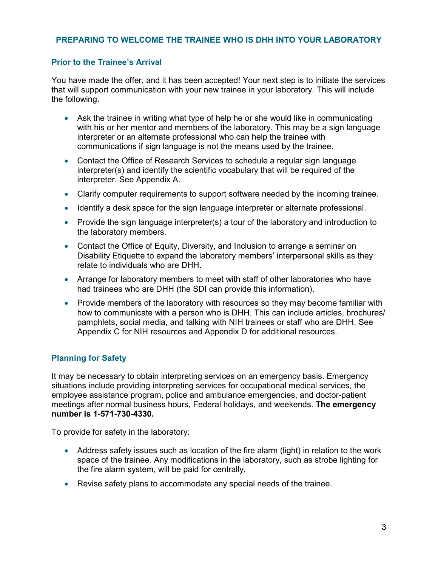### <span id="page-12-0"></span>**PREPARING TO WELCOME THE TRAINEE WHO IS DHH INTO YOUR LABORATORY**

#### **Prior to the Trainee's Arrival**

You have made the offer, and it has been accepted! Your next step is to initiate the services that will support communication with your new trainee in your laboratory. This will include the following.

- Ask the trainee in writing what type of help he or she would like in communicating with his or her mentor and members of the laboratory. This may be a sign language interpreter or an alternate professional who can help the trainee with communications if sign language is not the means used by the trainee.
- Contact the Office of Research Services to schedule a regular sign language interpreter(s) and identify the scientific vocabulary that will be required of the interpreter. See Appendix A.
- Clarify computer requirements to support software needed by the incoming trainee.
- Identify a desk space for the sign language interpreter or alternate professional.
- Provide the sign language interpreter(s) a tour of the laboratory and introduction to the laboratory members.
- Contact the Office of Equity, Diversity, and Inclusion to arrange a seminar on Disability Etiquette to expand the laboratory members' interpersonal skills as they relate to individuals who are DHH.
- Arrange for laboratory members to meet with staff of other laboratories who have had trainees who are DHH (the SDI can provide this information).
- Provide members of the laboratory with resources so they may become familiar with how to communicate with a person who is DHH. This can include articles, brochures/ pamphlets, social media, and talking with NIH trainees or staff who are DHH. See Appendix C for NIH resources and Appendix D for additional resources.

### **Planning for Safety**

It may be necessary to obtain interpreting services on an emergency basis. Emergency situations include providing interpreting services for occupational medical services, the employee assistance program, police and ambulance emergencies, and doctor-patient meetings after normal business hours, Federal holidays, and weekends. **The emergency number is 1-571-730-4330.** 

To provide for safety in the laboratory:

- Address safety issues such as location of the fire alarm (light) in relation to the work space of the trainee. Any modifications in the laboratory, such as strobe lighting for the fire alarm system, will be paid for centrally.
- Revise safety plans to accommodate any special needs of the trainee.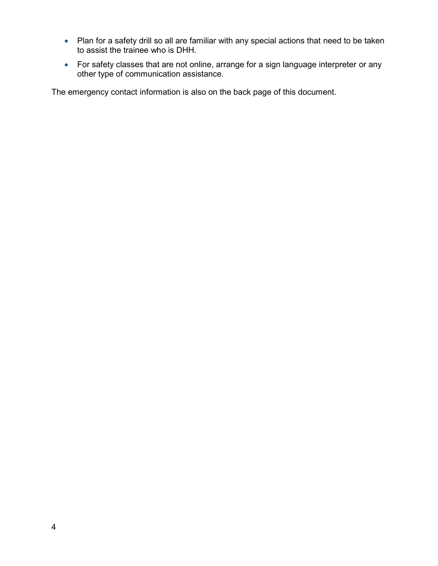- Plan for a safety drill so all are familiar with any special actions that need to be taken to assist the trainee who is DHH.
- For safety classes that are not online, arrange for a sign language interpreter or any other type of communication assistance.

The emergency contact information is also on the back page of this document.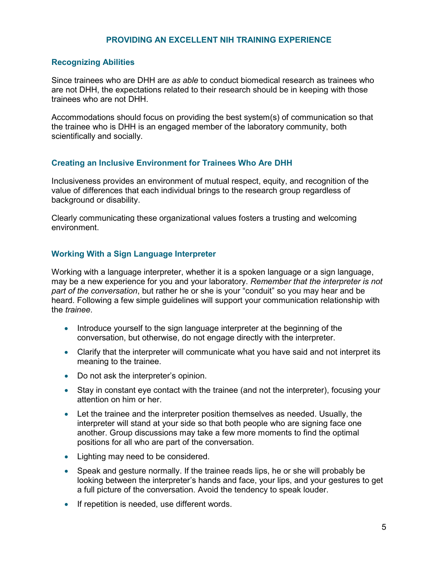#### **PROVIDING AN EXCELLENT NIH TRAINING EXPERIENCE**

#### <span id="page-14-0"></span>**Recognizing Abilities**

Since trainees who are DHH are *as able* to conduct biomedical research as trainees who are not DHH, the expectations related to their research should be in keeping with those trainees who are not DHH.

Accommodations should focus on providing the best system(s) of communication so that the trainee who is DHH is an engaged member of the laboratory community, both scientifically and socially.

#### **Creating an Inclusive Environment for Trainees Who Are DHH**

Inclusiveness provides an environment of mutual respect, equity, and recognition of the value of differences that each individual brings to the research group regardless of background or disability.

Clearly communicating these organizational values fosters a trusting and welcoming environment.

#### **Working With a Sign Language Interpreter**

Working with a language interpreter, whether it is a spoken language or a sign language, may be a new experience for you and your laboratory. *Remember that the interpreter is not part of the conversation*, but rather he or she is your "conduit" so you may hear and be heard. Following a few simple guidelines will support your communication relationship with the *trainee*.

- Introduce yourself to the sign language interpreter at the beginning of the conversation, but otherwise, do not engage directly with the interpreter.
- Clarify that the interpreter will communicate what you have said and not interpret its meaning to the trainee.
- Do not ask the interpreter's opinion.
- Stay in constant eye contact with the trainee (and not the interpreter), focusing your attention on him or her.
- Let the trainee and the interpreter position themselves as needed. Usually, the interpreter will stand at your side so that both people who are signing face one another. Group discussions may take a few more moments to find the optimal positions for all who are part of the conversation.
- Lighting may need to be considered.
- Speak and gesture normally. If the trainee reads lips, he or she will probably be looking between the interpreter's hands and face, your lips, and your gestures to get a full picture of the conversation. Avoid the tendency to speak louder.
- If repetition is needed, use different words.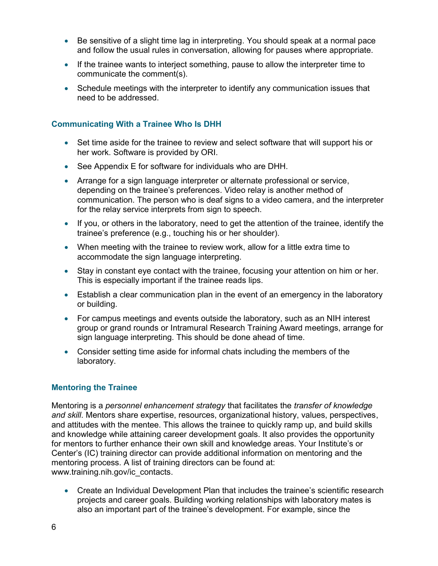- <span id="page-15-0"></span> Be sensitive of a slight time lag in interpreting. You should speak at a normal pace and follow the usual rules in conversation, allowing for pauses where appropriate.
- If the trainee wants to interject something, pause to allow the interpreter time to communicate the comment(s).
- Schedule meetings with the interpreter to identify any communication issues that need to be addressed.

# **Communicating With a Trainee Who Is DHH**

- Set time aside for the trainee to review and select software that will support his or her work. Software is provided by ORI.
- See Appendix E for software for individuals who are DHH.
- Arrange for a sign language interpreter or alternate professional or service, depending on the trainee's preferences. Video relay is another method of communication. The person who is deaf signs to a video camera, and the interpreter for the relay service interprets from sign to speech.
- If you, or others in the laboratory, need to get the attention of the trainee, identify the trainee's preference (e.g., touching his or her shoulder).
- When meeting with the trainee to review work, allow for a little extra time to accommodate the sign language interpreting.
- Stay in constant eye contact with the trainee, focusing your attention on him or her. This is especially important if the trainee reads lips.
- Establish a clear communication plan in the event of an emergency in the laboratory or building.
- For campus meetings and events outside the laboratory, such as an NIH interest group or grand rounds or Intramural Research Training Award meetings, arrange for sign language interpreting. This should be done ahead of time.
- Consider setting time aside for informal chats including the members of the laboratory.

### **Mentoring the Trainee**

Mentoring is a *personnel enhancement strategy* that facilitates the *transfer of knowledge and skill*. Mentors share expertise, resources, organizational history, values, perspectives, and attitudes with the mentee. This allows the trainee to quickly ramp up, and build skills and knowledge while attaining career development goals. It also provides the opportunity for mentors to further enhance their own skill and knowledge areas. Your Institute's or Center's (IC) training director can provide additional information on mentoring and the mentoring process. A list of training directors can be found at: [www.training.nih.gov/ic\\_contacts.](https://www.training.nih.gov/ic_contacts)

 Create an Individual Development Plan that includes the trainee's scientific research projects and career goals. Building working relationships with laboratory mates is also an important part of the trainee's development. For example, since the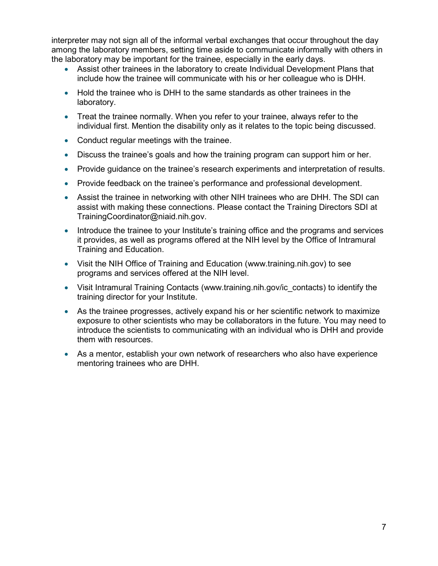interpreter may not sign all of the informal verbal exchanges that occur throughout the day among the laboratory members, setting time aside to communicate informally with others in the laboratory may be important for the trainee, especially in the early days.

- Assist other trainees in the laboratory to create Individual Development Plans that include how the trainee will communicate with his or her colleague who is DHH.
- Hold the trainee who is DHH to the same standards as other trainees in the laboratory.
- Treat the trainee normally. When you refer to your trainee, always refer to the individual first. Mention the disability only as it relates to the topic being discussed.
- Conduct regular meetings with the trainee.
- Discuss the trainee's goals and how the training program can support him or her.
- Provide guidance on the trainee's research experiments and interpretation of results.
- Provide feedback on the trainee's performance and professional development.
- Assist the trainee in networking with other NIH trainees who are DHH. The SDI can assist with making these connections. Please contact the Training Directors SDI at [TrainingCoordinator@niaid.nih.gov.](mailto:TrainingCoordinator@niaid.nih.gov)
- Introduce the trainee to your Institute's training office and the programs and services it provides, as well as programs offered at the NIH level by the Office of Intramural Training and Education.
- Visit the NIH Office of Training and Education ([www.training.nih.gov\)](https://www.training.nih.gov/) to see programs and services offered at the NIH level.
- Visit Intramural Training Contacts (www.training.nih.gov/ic contacts) to identify the training director for your Institute.
- As the trainee progresses, actively expand his or her scientific network to maximize exposure to other scientists who may be collaborators in the future. You may need to introduce the scientists to communicating with an individual who is DHH and provide them with resources.
- As a mentor, establish your own network of researchers who also have experience mentoring trainees who are DHH.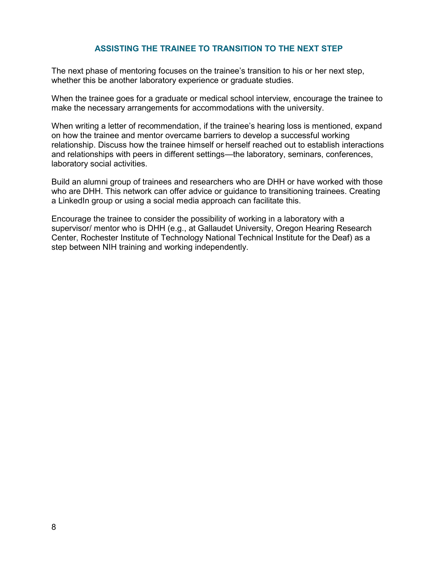### **ASSISTING THE TRAINEE TO TRANSITION TO THE NEXT STEP**

<span id="page-17-0"></span>The next phase of mentoring focuses on the trainee's transition to his or her next step, whether this be another laboratory experience or graduate studies.

When the trainee goes for a graduate or medical school interview, encourage the trainee to make the necessary arrangements for accommodations with the university.

When writing a letter of recommendation, if the trainee's hearing loss is mentioned, expand on how the trainee and mentor overcame barriers to develop a successful working relationship. Discuss how the trainee himself or herself reached out to establish interactions and relationships with peers in different settings—the laboratory, seminars, conferences, laboratory social activities.

Build an alumni group of trainees and researchers who are DHH or have worked with those who are DHH. This network can offer advice or guidance to transitioning trainees. Creating a LinkedIn group or using a social media approach can facilitate this.

Encourage the trainee to consider the possibility of working in a laboratory with a supervisor/ mentor who is DHH (e.g., at Gallaudet University, Oregon Hearing Research Center, Rochester Institute of Technology National Technical Institute for the Deaf) as a step between NIH training and working independently.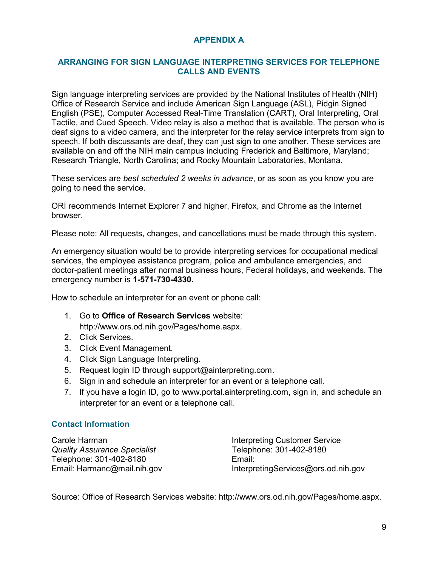# **APPENDIX A**

#### <span id="page-18-0"></span>**ARRANGING FOR SIGN LANGUAGE INTERPRETING SERVICES FOR TELEPHONE CALLS AND EVENTS**

Sign language interpreting services are provided by the National Institutes of Health (NIH) Office of Research Service and include American Sign Language (ASL), Pidgin Signed English (PSE), Computer Accessed Real-Time Translation (CART), Oral Interpreting, Oral Tactile, and Cued Speech. Video relay is also a method that is available. The person who is deaf signs to a video camera, and the interpreter for the relay service interprets from sign to speech. If both discussants are deaf, they can just sign to one another. These services are available on and off the NIH main campus including Frederick and Baltimore, Maryland; Research Triangle, North Carolina; and Rocky Mountain Laboratories, Montana.

These services are *best scheduled 2 weeks in advance*, or as soon as you know you are going to need the service.

ORI recommends Internet Explorer 7 and higher, Firefox, and Chrome as the Internet browser.

Please note: All requests, changes, and cancellations must be made through this system.

An emergency situation would be to provide interpreting services for occupational medical services, the employee assistance program, police and ambulance emergencies, and doctor-patient meetings after normal business hours, Federal holidays, and weekends. The emergency number is **1-571-730-4330.** 

How to schedule an interpreter for an event or phone call:

1. Go to **Office of Research Services** website:

<http://www.ors.od.nih.gov/Pages/home.aspx>.

- 2. Click Services.
- 3. Click Event Management.
- 4. Click Sign Language Interpreting.
- 5. Request login ID through [support@ainterpreting.com](mailto:support@ainterpreting.com).
- 6. Sign in and schedule an interpreter for an event or a telephone call.
- 7. If you have a login ID, go to [www.portal.ainterpreting.com](https://portal.ainterpreting.com/), sign in, and schedule an interpreter for an event or a telephone call.

#### **Contact Information**

| Carole Harman                       | <b>Interpreting Customer Service</b> |
|-------------------------------------|--------------------------------------|
| <b>Quality Assurance Specialist</b> | Telephone: 301-402-8180              |
| Telephone: 301-402-8180             | Email:                               |
| Email: Harmanc@mail.nih.gov         | InterpretingServices@ors.od.nih.gov  |

Source: Office of Research Services website: [http://www.ors.od.nih.gov/Pages/home.aspx.](http://www.ors.od.nih.gov/Pages/home.aspx)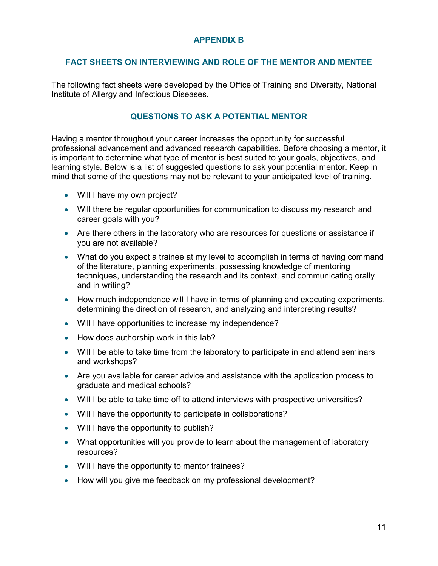# **APPENDIX B**

#### <span id="page-20-0"></span>**FACT SHEETS ON INTERVIEWING AND ROLE OF THE MENTOR AND MENTEE**

The following fact sheets were developed by the Office of Training and Diversity, National Institute of Allergy and Infectious Diseases.

### **QUESTIONS TO ASK A POTENTIAL MENTOR**

Having a mentor throughout your career increases the opportunity for successful professional advancement and advanced research capabilities. Before choosing a mentor, it is important to determine what type of mentor is best suited to your goals, objectives, and learning style. Below is a list of suggested questions to ask your potential mentor. Keep in mind that some of the questions may not be relevant to your anticipated level of training.

- Will I have my own project?
- Will there be regular opportunities for communication to discuss my research and career goals with you?
- Are there others in the laboratory who are resources for questions or assistance if you are not available?
- What do you expect a trainee at my level to accomplish in terms of having command of the literature, planning experiments, possessing knowledge of mentoring techniques, understanding the research and its context, and communicating orally and in writing?
- How much independence will I have in terms of planning and executing experiments, determining the direction of research, and analyzing and interpreting results?
- Will I have opportunities to increase my independence?
- How does authorship work in this lab?
- Will I be able to take time from the laboratory to participate in and attend seminars and workshops?
- Are you available for career advice and assistance with the application process to graduate and medical schools?
- Will I be able to take time off to attend interviews with prospective universities?
- Will I have the opportunity to participate in collaborations?
- Will I have the opportunity to publish?
- What opportunities will you provide to learn about the management of laboratory resources?
- Will I have the opportunity to mentor trainees?
- How will you give me feedback on my professional development?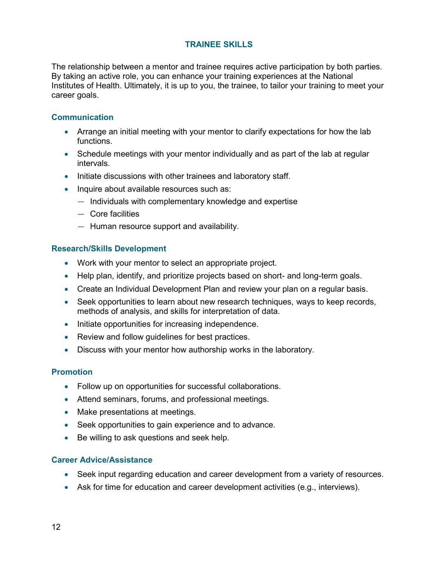# **TRAINEE SKILLS**

<span id="page-21-0"></span>The relationship between a mentor and trainee requires active participation by both parties. By taking an active role, you can enhance your training experiences at the National Institutes of Health. Ultimately, it is up to you, the trainee, to tailor your training to meet your career goals.

### **Communication**

- Arrange an initial meeting with your mentor to clarify expectations for how the lab functions.
- Schedule meetings with your mentor individually and as part of the lab at regular intervals.
- Initiate discussions with other trainees and laboratory staff.
- Inquire about available resources such as:
	- Individuals with complementary knowledge and expertise
	- Core facilities
	- Human resource support and availability.

#### **Research/Skills Development**

- Work with your mentor to select an appropriate project.
- Help plan, identify, and prioritize projects based on short- and long-term goals.
- Create an Individual Development Plan and review your plan on a regular basis.
- Seek opportunities to learn about new research techniques, ways to keep records, methods of analysis, and skills for interpretation of data.
- Initiate opportunities for increasing independence.
- Review and follow guidelines for best practices.
- Discuss with your mentor how authorship works in the laboratory.

### **Promotion**

- Follow up on opportunities for successful collaborations.
- Attend seminars, forums, and professional meetings.
- Make presentations at meetings.
- Seek opportunities to gain experience and to advance.
- Be willing to ask questions and seek help.

#### **Career Advice/Assistance**

- Seek input regarding education and career development from a variety of resources.
- Ask for time for education and career development activities (e.g., interviews).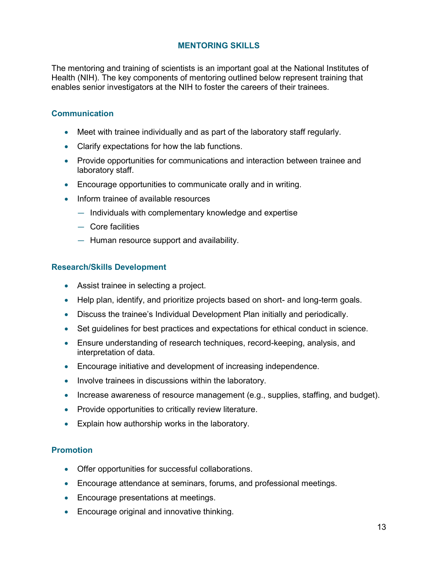#### **MENTORING SKILLS**

<span id="page-22-0"></span>The mentoring and training of scientists is an important goal at the National Institutes of Health (NIH). The key components of mentoring outlined below represent training that enables senior investigators at the NIH to foster the careers of their trainees.

#### **Communication**

- Meet with trainee individually and as part of the laboratory staff regularly.
- Clarify expectations for how the lab functions.
- Provide opportunities for communications and interaction between trainee and laboratory staff.
- Encourage opportunities to communicate orally and in writing.
- Inform trainee of available resources
	- Individuals with complementary knowledge and expertise
	- Core facilities
	- Human resource support and availability.

#### **Research/Skills Development**

- Assist trainee in selecting a project.
- Help plan, identify, and prioritize projects based on short- and long-term goals.
- Discuss the trainee's Individual Development Plan initially and periodically.
- Set guidelines for best practices and expectations for ethical conduct in science.
- Ensure understanding of research techniques, record-keeping, analysis, and interpretation of data.
- Encourage initiative and development of increasing independence.
- Involve trainees in discussions within the laboratory.
- Increase awareness of resource management (e.g., supplies, staffing, and budget).
- Provide opportunities to critically review literature.
- Explain how authorship works in the laboratory.

### **Promotion**

- Offer opportunities for successful collaborations.
- Encourage attendance at seminars, forums, and professional meetings.
- Encourage presentations at meetings.
- Encourage original and innovative thinking.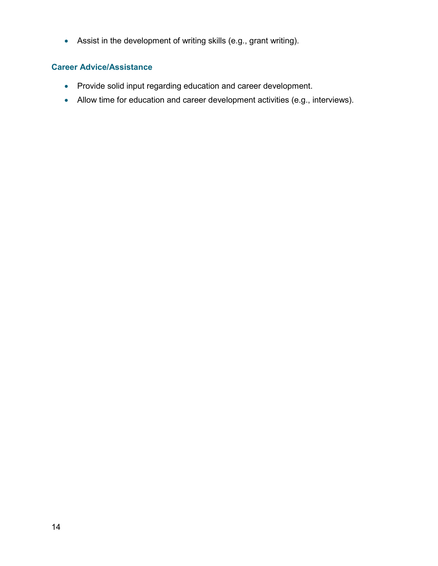Assist in the development of writing skills (e.g., grant writing).

#### **Career Advice/Assistance**

- Provide solid input regarding education and career development.
- Allow time for education and career development activities (e.g., interviews).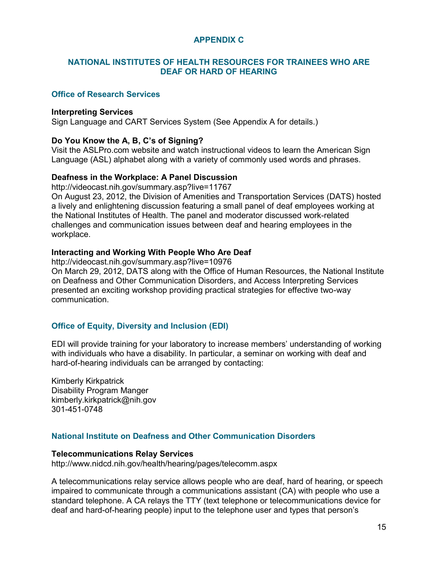## **APPENDIX C**

#### <span id="page-24-0"></span>**NATIONAL INSTITUTES OF HEALTH RESOURCES FOR TRAINEES WHO ARE DEAF OR HARD OF HEARING**

### **Office of Research Services**

#### **Interpreting Services**

Sign Language and CART Services System (See Appendix A for details.)

#### **Do You Know the A, B, C's of Signing?**

Visit the ASLPro.com website and watch instructional videos to learn the American Sign Language (ASL) alphabet along with a variety of commonly used words and phrases.

#### **Deafness in the Workplace: A Panel Discussion**

<http://videocast.nih.gov/summary.asp?live=11767>

On August 23, 2012, the Division of Amenities and Transportation Services (DATS) hosted a lively and enlightening discussion featuring a small panel of deaf employees working at the National Institutes of Health. The panel and moderator discussed work-related challenges and communication issues between deaf and hearing employees in the workplace.

#### **Interacting and Working With People Who Are Deaf**

<http://videocast.nih.gov/summary.asp?live=10976> On March 29, 2012, DATS along with the Office of Human Resources, the National Institute on Deafness and Other Communication Disorders, and Access Interpreting Services presented an exciting workshop providing practical strategies for effective two-way communication.

### **Office of Equity, Diversity and Inclusion (EDI)**

EDI will provide training for your laboratory to increase members' understanding of working with individuals who have a disability. In particular, a seminar on working with deaf and hard-of-hearing individuals can be arranged by contacting:

Kimberly Kirkpatrick Disability Program Manger [kimberly.kirkpatrick@nih.gov](mailto:kimberly.kirkpatrick@nih.gov) 301-451-0748

#### **National Institute on Deafness and Other Communication Disorders**

#### **Telecommunications Relay Services**

<http://www.nidcd.nih.gov/health/hearing/pages/telecomm.aspx>

A telecommunications relay service allows people who are deaf, hard of hearing, or speech impaired to communicate through a communications assistant (CA) with people who use a standard telephone. A CA relays the TTY (text telephone or telecommunications device for deaf and hard-of-hearing people) input to the telephone user and types that person's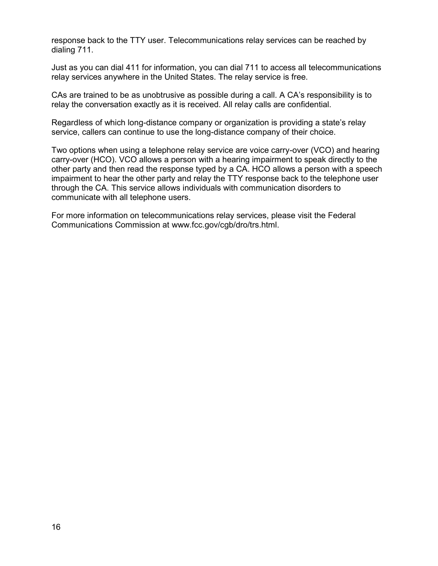response back to the TTY user. Telecommunications relay services can be reached by dialing 711.

Just as you can dial 411 for information, you can dial 711 to access all telecommunications relay services anywhere in the United States. The relay service is free.

CAs are trained to be as unobtrusive as possible during a call. A CA's responsibility is to relay the conversation exactly as it is received. All relay calls are confidential.

Regardless of which long-distance company or organization is providing a state's relay service, callers can continue to use the long-distance company of their choice.

Two options when using a telephone relay service are voice carry-over (VCO) and hearing carry-over (HCO). VCO allows a person with a hearing impairment to speak directly to the other party and then read the response typed by a CA. HCO allows a person with a speech impairment to hear the other party and relay the TTY response back to the telephone user through the CA. This service allows individuals with communication disorders to communicate with all telephone users.

For more information on telecommunications relay services, please visit the Federal Communications Commission at [www.fcc.gov/cgb/dro/trs.html](http://www.fcc.gov/encyclopedia/telecommunications-relay-services-trs).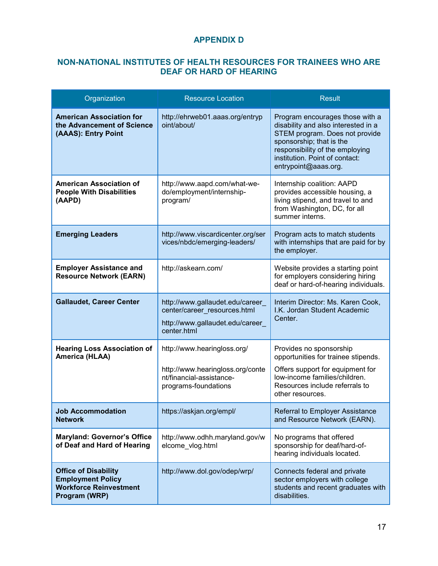# **APPENDIX D**

#### <span id="page-26-0"></span>**NON-NATIONAL INSTITUTES OF HEALTH RESOURCES FOR TRAINEES WHO ARE DEAF OR HARD OF HEARING**

| Organization                                                                                              | <b>Resource Location</b>                                                                                            | <b>Result</b>                                                                                                                                                                                                                     |
|-----------------------------------------------------------------------------------------------------------|---------------------------------------------------------------------------------------------------------------------|-----------------------------------------------------------------------------------------------------------------------------------------------------------------------------------------------------------------------------------|
| <b>American Association for</b><br>the Advancement of Science<br>(AAAS): Entry Point                      | http://ehrweb01.aaas.org/entryp<br>oint/about/                                                                      | Program encourages those with a<br>disability and also interested in a<br>STEM program. Does not provide<br>sponsorship; that is the<br>responsibility of the employing<br>institution. Point of contact:<br>entrypoint@aaas.org. |
| American Association of<br><b>People With Disabilities</b><br>(AAPD)                                      | http://www.aapd.com/what-we-<br>do/employment/internship-<br>program/                                               | Internship coalition: AAPD<br>provides accessible housing, a<br>living stipend, and travel to and<br>from Washington, DC, for all<br>summer interns.                                                                              |
| <b>Emerging Leaders</b>                                                                                   | http://www.viscardicenter.org/ser<br>vices/nbdc/emerging-leaders/                                                   | Program acts to match students<br>with internships that are paid for by<br>the employer.                                                                                                                                          |
| <b>Employer Assistance and</b><br><b>Resource Network (EARN)</b>                                          | http://askearn.com/                                                                                                 | Website provides a starting point<br>for employers considering hiring<br>deaf or hard-of-hearing individuals.                                                                                                                     |
| <b>Gallaudet, Career Center</b>                                                                           | http://www.gallaudet.edu/career_<br>center/career resources.html<br>http://www.gallaudet.edu/career<br>center.html  | Interim Director: Ms. Karen Cook,<br>I.K. Jordan Student Academic<br>Center.                                                                                                                                                      |
| <b>Hearing Loss Association of</b><br>America (HLAA)                                                      | http://www.hearingloss.org/<br>http://www.hearingloss.org/conte<br>nt/financial-assistance-<br>programs-foundations | Provides no sponsorship<br>opportunities for trainee stipends.<br>Offers support for equipment for<br>low-income families/children.<br>Resources include referrals to<br>other resources.                                         |
| <b>Job Accommodation</b><br><b>Network</b>                                                                | https://askjan.org/empl/                                                                                            | Referral to Employer Assistance<br>and Resource Network (EARN).                                                                                                                                                                   |
| <b>Maryland: Governor's Office</b><br>of Deaf and Hard of Hearing                                         | http://www.odhh.maryland.gov/w<br>elcome_vlog.html                                                                  | No programs that offered<br>sponsorship for deaf/hard-of-<br>hearing individuals located.                                                                                                                                         |
| <b>Office of Disability</b><br><b>Employment Policy</b><br><b>Workforce Reinvestment</b><br>Program (WRP) | http://www.dol.gov/odep/wrp/                                                                                        | Connects federal and private<br>sector employers with college<br>students and recent graduates with<br>disabilities.                                                                                                              |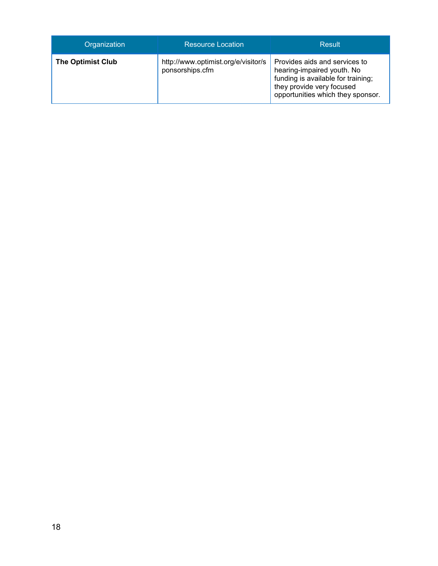| Organization             | <b>Resource Location</b>                               | Result                                                                                                                                                              |
|--------------------------|--------------------------------------------------------|---------------------------------------------------------------------------------------------------------------------------------------------------------------------|
| <b>The Optimist Club</b> | http://www.optimist.org/e/visitor/s<br>ponsorships.cfm | Provides aids and services to<br>hearing-impaired youth. No<br>funding is available for training;<br>they provide very focused<br>opportunities which they sponsor. |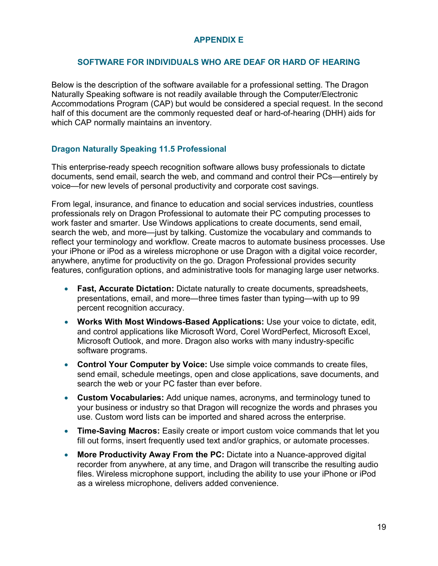# **APPENDIX E**

#### **SOFTWARE FOR INDIVIDUALS WHO ARE DEAF OR HARD OF HEARING**

<span id="page-28-0"></span>Below is the description of the software available for a professional setting. The Dragon Naturally Speaking software is not readily available through the Computer/Electronic Accommodations Program (CAP) but would be considered a special request. In the second half of this document are the commonly requested deaf or hard-of-hearing (DHH) aids for which CAP normally maintains an inventory.

### **Dragon Naturally Speaking 11.5 Professional**

This enterprise-ready speech recognition software allows busy professionals to dictate documents, send email, search the web, and command and control their PCs—entirely by voice—for new levels of personal productivity and corporate cost savings.

From legal, insurance, and finance to education and social services industries, countless professionals rely on Dragon Professional to automate their PC computing processes to work faster and smarter. Use Windows applications to create documents, send email, search the web, and more—just by talking. Customize the vocabulary and commands to reflect your terminology and workflow. Create macros to automate business processes. Use your iPhone or iPod as a wireless microphone or use Dragon with a digital voice recorder, anywhere, anytime for productivity on the go. Dragon Professional provides security features, configuration options, and administrative tools for managing large user networks.

- **Fast, Accurate Dictation:** Dictate naturally to create documents, spreadsheets, presentations, email, and more—three times faster than typing—with up to 99 percent recognition accuracy.
- **Works With Most Windows-Based Applications:** Use your voice to dictate, edit, and control applications like Microsoft Word, Corel WordPerfect, Microsoft Excel, Microsoft Outlook, and more. Dragon also works with many industry-specific software programs.
- **Control Your Computer by Voice:** Use simple voice commands to create files, send email, schedule meetings, open and close applications, save documents, and search the web or your PC faster than ever before.
- **Custom Vocabularies:** Add unique names, acronyms, and terminology tuned to your business or industry so that Dragon will recognize the words and phrases you use. Custom word lists can be imported and shared across the enterprise.
- **Time-Saving Macros:** Easily create or import custom voice commands that let you fill out forms, insert frequently used text and/or graphics, or automate processes.
- **More Productivity Away From the PC:** Dictate into a Nuance-approved digital recorder from anywhere, at any time, and Dragon will transcribe the resulting audio files. Wireless microphone support, including the ability to use your iPhone or iPod as a wireless microphone, delivers added convenience.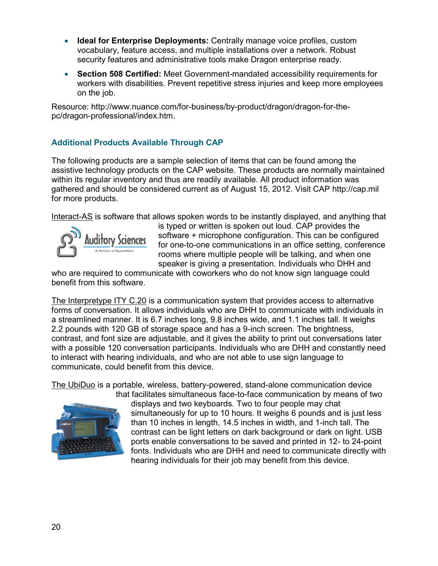- **Ideal for Enterprise Deployments:** Centrally manage voice profiles, custom vocabulary, feature access, and multiple installations over a network. Robust security features and administrative tools make Dragon enterprise ready.
- **Section 508 Certified:** Meet Government-mandated accessibility requirements for workers with disabilities. Prevent repetitive stress injuries and keep more employees on the job.

[Resource: http://www.nuance.com/for-business/by-product/dragon/dragon-for-the](http://www.nuance.com/for-business/by-product/dragon/dragon-for-the-pc/dragon-professional/index.htm)pc/dragon-professional/index.htm.

# **Additional Products Available Through CAP**

The following products are a sample selection of items that can be found among the assistive technology products on the CAP website. These products are normally maintained within its regular inventory and thus are readily available. All product information was gathered and should be considered current as of August 15, 2012. Visit CAP [http://cap.mil](http://cap.mil/)  for more products.

Interact-AS is software that allows spoken words to be instantly displayed, and anything that



is typed or written is spoken out loud. CAP provides the software + microphone configuration. This can be configured for one-to-one communications in an office setting, conference rooms where multiple people will be talking, and when one speaker is giving a presentation. Individuals who DHH and

who are required to communicate with coworkers who do not know sign language could benefit from this software.

The Interpretype ITY C.20 is a communication system that provides access to alternative forms of conversation. It allows individuals who are DHH to communicate with individuals in a streamlined manner. It is 6.7 inches long, 9.8 inches wide, and 1.1 inches tall. It weighs 2.2 pounds with 120 GB of storage space and has a 9-inch screen. The brightness, contrast, and font size are adjustable, and it gives the ability to print out conversations later with a possible 120 conversation participants. Individuals who are DHH and constantly need to interact with hearing individuals, and who are not able to use sign language to communicate, could benefit from this device.

The UbiDuo is a portable, wireless, battery-powered, stand-alone communication device



that facilitates simultaneous face-to-face communication by means of two displays and two keyboards. Two to four people may chat simultaneously for up to 10 hours. It weighs 6 pounds and is just less than 10 inches in length, 14.5 inches in width, and 1-inch tall. The contrast can be light letters on dark background or dark on light. USB ports enable conversations to be saved and printed in 12- to 24-point fonts. Individuals who are DHH and need to communicate directly with hearing individuals for their job may benefit from this device.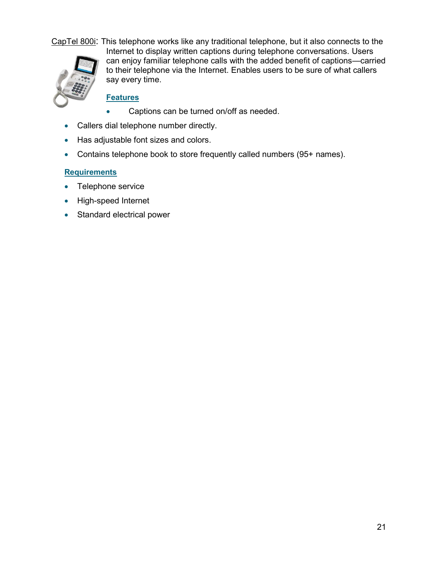

CapTel 800i: This telephone works like any traditional telephone, but it also connects to the Internet to display written captions during telephone conversations. Users can enjoy familiar telephone calls with the added benefit of captions—carried to their telephone via the Internet. Enables users to be sure of what callers say every time.

# **Features**

- Captions can be turned on/off as needed.
- Callers dial telephone number directly.
- Has adjustable font sizes and colors.
- Contains telephone book to store frequently called numbers (95+ names).

#### **Requirements**

- Telephone service
- High-speed Internet
- Standard electrical power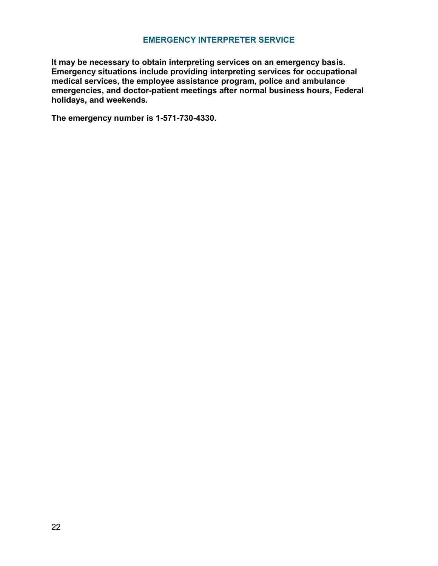#### **EMERGENCY INTERPRETER SERVICE**

**It may be necessary to obtain interpreting services on an emergency basis. Emergency situations include providing interpreting services for occupational medical services, the employee assistance program, police and ambulance emergencies, and doctor-patient meetings after normal business hours, Federal holidays, and weekends.** 

**The emergency number is 1-571-730-4330.**